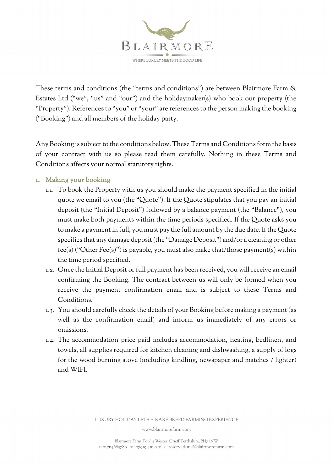

These terms and conditions (the "terms and conditions") are between Blairmore Farm & Estates Ltd ("we", "us" and "our") and the holidaymaker(s) who book our property (the "Property"). References to "you" or "your" are references to the person making the booking ("Booking") and all members of the holiday party.

Any Booking is subject to the conditions below. These Terms and Conditions form the basis of your contract with us so please read them carefully. Nothing in these Terms and Conditions affects your normal statutory rights.

# 1. Making your booking

- 1.1. To book the Property with us you should make the payment specified in the initial quote we email to you (the "Quote"). If the Quote stipulates that you pay an initial deposit (the "Initial Deposit") followed by a balance payment (the "Balance"), you must make both payments within the time periods specified. If the Quote asks you to make a payment in full, you must pay the full amount by the due date. If the Quote specifies that any damage deposit (the "Damage Deposit") and/or a cleaning or other fee(s) ("Other Fee(s)") is payable, you must also make that/those payment(s) within the time period specified.
- 1.2. Once the Initial Deposit or full payment has been received, you will receive an email confirming the Booking. The contract between us will only be formed when you receive the payment confirmation email and is subject to these Terms and Conditions.
- 1.3. You should carefully check the details of your Booking before making a payment (as well as the confirmation email) and inform us immediately of any errors or omissions.
- 1.4. The accommodation price paid includes accommodation, heating, bedlinen, and towels, all supplies required for kitchen cleaning and dishwashing, a supply of logs for the wood burning stove (including kindling, newspaper and matches / lighter) and WIFI.

LUXURY HOLIDAY LETS . RARE BREED FARMING EXPERIENCE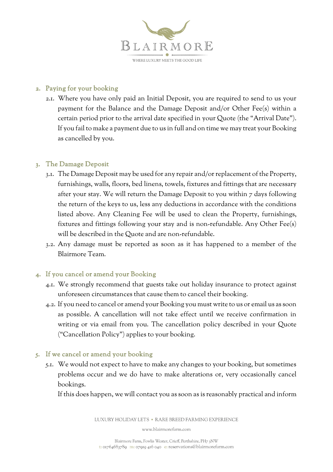

### 2. Paying for your booking

2.1. Where you have only paid an Initial Deposit, you are required to send to us your payment for the Balance and the Damage Deposit and/or Other Fee(s) within a certain period prior to the arrival date specified in your Quote (the "Arrival Date"). If you fail to make a payment due to us in full and on time we may treat your Booking as cancelled by you.

## 3. The Damage Deposit

- 3.1. The Damage Deposit may be used for any repair and/or replacement of the Property, furnishings, walls, floors, bed linens, towels, fixtures and fittings that are necessary after your stay. We will return the Damage Deposit to you within 7 days following the return of the keys to us, less any deductions in accordance with the conditions listed above. Any Cleaning Fee will be used to clean the Property, furnishings, fixtures and fittings following your stay and is non-refundable. Any Other Fee(s) will be described in the Quote and are non-refundable.
- 3.2. Any damage must be reported as soon as it has happened to a member of the Blairmore Team.

## 4. If you cancel or amend your Booking

- 4.1. We strongly recommend that guests take out holiday insurance to protect against unforeseen circumstances that cause them to cancel their booking.
- 4.2. If you need to cancel or amend your Booking you must write to us or email us as soon as possible. A cancellation will not take effect until we receive confirmation in writing or via email from you. The cancellation policy described in your Quote ("Cancellation Policy") applies to your booking.

## 5. If we cancel or amend your booking

5.1. We would not expect to have to make any changes to your booking, but sometimes problems occur and we do have to make alterations or, very occasionally cancel bookings.

If this does happen, we will contact you as soon as is reasonably practical and inform

LUXURY HOLIDAY LETS . RARE BREED FARMING EXPERIENCE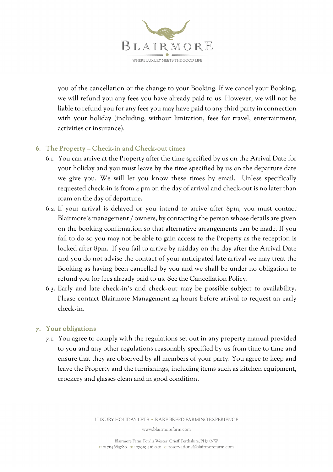WHERE LUXURY MEETS THE GOOD LIF

you of the cancellation or the change to your Booking. If we cancel your Booking, we will refund you any fees you have already paid to us. However, we will not be liable to refund you for any fees you may have paid to any third party in connection with your holiday (including, without limitation, fees for travel, entertainment, activities or insurance).

# 6. The Property – Check-in and Check-out times

- 6.1. You can arrive at the Property after the time specified by us on the Arrival Date for your holiday and you must leave by the time specified by us on the departure date we give you. We will let you know these times by email. Unless specifically requested check-in is from 4 pm on the day of arrival and check-out is no later than 10am on the day of departure.
- 6.2. If your arrival is delayed or you intend to arrive after 8pm, you must contact Blairmore's management / owners, by contacting the person whose details are given on the booking confirmation so that alternative arrangements can be made. If you fail to do so you may not be able to gain access to the Property as the reception is locked after 8pm. If you fail to arrive by midday on the day after the Arrival Date and you do not advise the contact of your anticipated late arrival we may treat the Booking as having been cancelled by you and we shall be under no obligation to refund you for fees already paid to us. See the Cancellation Policy.
- 6.3. Early and late check-in's and check-out may be possible subject to availability. Please contact Blairmore Management 24 hours before arrival to request an early check-in.

# 7. Your obligations

7.1. You agree to comply with the regulations set out in any property manual provided to you and any other regulations reasonably specified by us from time to time and ensure that they are observed by all members of your party. You agree to keep and leave the Property and the furnishings, including items such as kitchen equipment, crockery and glasses clean and in good condition.

LUXURY HOLIDAY LETS . RARE BREED FARMING EXPERIENCE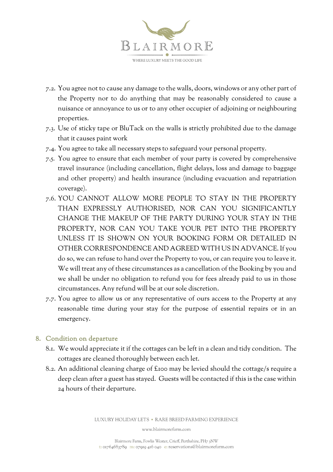

- 7.2. You agree not to cause any damage to the walls, doors, windows or any other part of the Property nor to do anything that may be reasonably considered to cause a nuisance or annoyance to us or to any other occupier of adjoining or neighbouring properties.
- 7.3. Use of sticky tape or BluTack on the walls is strictly prohibited due to the damage that it causes paint work
- 7.4. You agree to take all necessary steps to safeguard your personal property.
- 7.5. You agree to ensure that each member of your party is covered by comprehensive travel insurance (including cancellation, flight delays, loss and damage to baggage and other property) and health insurance (including evacuation and repatriation coverage).
- 7.6. YOU CANNOT ALLOW MORE PEOPLE TO STAY IN THE PROPERTY THAN EXPRESSLY AUTHORISED, NOR CAN YOU SIGNIFICANTLY CHANGE THE MAKEUP OF THE PARTY DURING YOUR STAY IN THE PROPERTY, NOR CAN YOU TAKE YOUR PET INTO THE PROPERTY UNLESS IT IS SHOWN ON YOUR BOOKING FORM OR DETAILED IN OTHER CORRESPONDENCE AND AGREED WITH US IN ADVANCE. If you do so, we can refuse to hand over the Property to you, or can require you to leave it. We will treat any of these circumstances as a cancellation of the Booking by you and we shall be under no obligation to refund you for fees already paid to us in those circumstances. Any refund will be at our sole discretion.
- 7.7. You agree to allow us or any representative of ours access to the Property at any reasonable time during your stay for the purpose of essential repairs or in an emergency.

# 8. Condition on departure

- 8.1. We would appreciate it if the cottages can be left in a clean and tidy condition. The cottages are cleaned thoroughly between each let.
- 8.2. An additional cleaning charge of £100 may be levied should the cottage/s require a deep clean after a guest has stayed. Guests will be contacted if this is the case within 24 hours of their departure.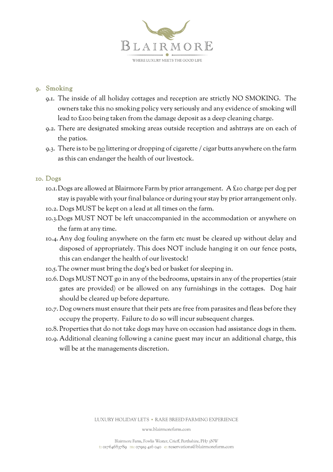

### 9. Smoking

- 9.1. The inside of all holiday cottages and reception are strictly NO SMOKING. The owners take this no smoking policy very seriously and any evidence of smoking will lead to £100 being taken from the damage deposit as a deep cleaning charge.
- 9.2. There are designated smoking areas outside reception and ashtrays are on each of the patios.
- 9.3. There is to be no littering or dropping of cigarette / cigar butts anywhere on the farm as this can endanger the health of our livestock.

#### 10. Dogs

- 10.1.Dogs are allowed at Blairmore Farm by prior arrangement. A £10 charge per dog per stay is payable with your final balance or during your stay by prior arrangement only.
- 10.2. Dogs MUST be kept on a lead at all times on the farm.
- 10.3.Dogs MUST NOT be left unaccompanied in the accommodation or anywhere on the farm at any time.
- 10.4. Any dog fouling anywhere on the farm etc must be cleared up without delay and disposed of appropriately. This does NOT include hanging it on our fence posts, this can endanger the health of our livestock!
- 10.5.The owner must bring the dog's bed or basket for sleeping in.
- 10.6. Dogs MUST NOT go in any of the bedrooms, upstairs in any of the properties (stair gates are provided) or be allowed on any furnishings in the cottages. Dog hair should be cleared up before departure.
- 10.7. Dog owners must ensure that their pets are free from parasites and fleas before they occupy the property. Failure to do so will incur subsequent charges.
- 10.8. Properties that do not take dogs may have on occasion had assistance dogs in them.
- 10.9. Additional cleaning following a canine guest may incur an additional charge, this will be at the managements discretion.

LUXURY HOLIDAY LETS . RARE BREED FARMING EXPERIENCE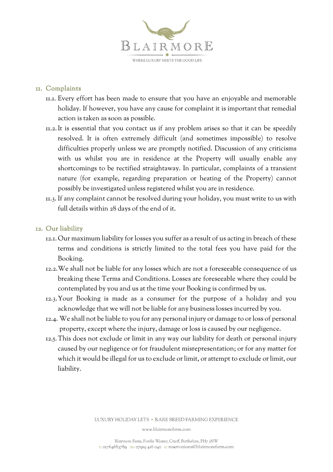

#### 11. Complaints

- 11.1. Every effort has been made to ensure that you have an enjoyable and memorable holiday. If however, you have any cause for complaint it is important that remedial action is taken as soon as possible.
- 11.2.It is essential that you contact us if any problem arises so that it can be speedily resolved. It is often extremely difficult (and sometimes impossible) to resolve difficulties properly unless we are promptly notified. Discussion of any criticisms with us whilst you are in residence at the Property will usually enable any shortcomings to be rectified straightaway. In particular, complaints of a transient nature (for example, regarding preparation or heating of the Property) cannot possibly be investigated unless registered whilst you are in residence.
- 11.3. If any complaint cannot be resolved during your holiday, you must write to us with full details within 28 days of the end of it.

#### 12. Our liability

- 12.1. Our maximum liability for losses you suffer as a result of us acting in breach of these terms and conditions is strictly limited to the total fees you have paid for the Booking.
- 12.2.We shall not be liable for any losses which are not a foreseeable consequence of us breaking these Terms and Conditions. Losses are foreseeable where they could be contemplated by you and us at the time your Booking is confirmed by us.
- 12.3.Your Booking is made as a consumer for the purpose of a holiday and you acknowledge that we will not be liable for any business losses incurred by you.
- 12.4. We shall not be liable to you for any personal injury or damage to or loss of personal property, except where the injury, damage or loss is caused by our negligence.
- 12.5. This does not exclude or limit in any way our liability for death or personal injury caused by our negligence or for fraudulent misrepresentation; or for any matter for which it would be illegal for us to exclude or limit, or attempt to exclude or limit, our liability.

LUXURY HOLIDAY LETS . RARE BREED FARMING EXPERIENCE